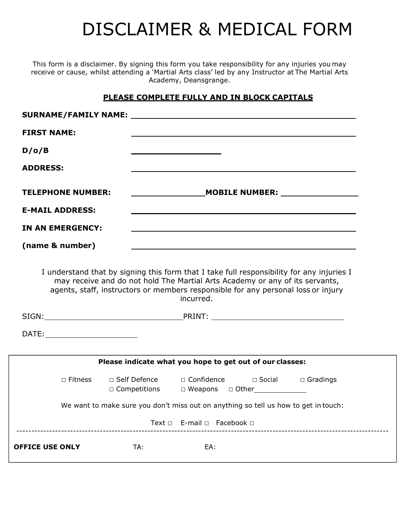# DISCLAIMER & MEDICAL FORM

This form is a disclaimer. By signing this form you take responsibility for any injuries you may receive or cause, whilst attending a 'Martial Arts class' led by any Instructor at The Martial Arts Academy, Deansgrange.

# **PLEASE COMPLETE FULLY AND IN BLOCK CAPITALS**

| SURNAME/FAMILY NAME: NAME:                                                                                                                                                                                                                                     |                                                     |
|----------------------------------------------------------------------------------------------------------------------------------------------------------------------------------------------------------------------------------------------------------------|-----------------------------------------------------|
|                                                                                                                                                                                                                                                                |                                                     |
|                                                                                                                                                                                                                                                                |                                                     |
|                                                                                                                                                                                                                                                                |                                                     |
|                                                                                                                                                                                                                                                                |                                                     |
| <u> 1989 - Johann Stoff, amerikansk politiker (* 1908)</u>                                                                                                                                                                                                     |                                                     |
| ,我们也不会有什么。""我们的人,我们也不会有什么?""我们的人,我们也不会有什么?""我们的人,我们也不会有什么?""我们的人,我们也不会有什么?""我们的人                                                                                                                                                                               |                                                     |
|                                                                                                                                                                                                                                                                |                                                     |
| I understand that by signing this form that I take full responsibility for any injuries I<br>may receive and do not hold The Martial Arts Academy or any of its servants,<br>agents, staff, instructors or members responsible for any personal loss or injury |                                                     |
| incurred.                                                                                                                                                                                                                                                      |                                                     |
| DATE:___________________________                                                                                                                                                                                                                               |                                                     |
| Please indicate what you hope to get out of our classes:                                                                                                                                                                                                       |                                                     |
| □ Fitness □ Self Defence □ Confidence □ Social □ Gradings<br>□ Competitions □ Weapons □ Other                                                                                                                                                                  |                                                     |
| We want to make sure you don't miss out on anything so tell us how to get in touch:                                                                                                                                                                            |                                                     |
| Text □ E-mail □ Facebook □                                                                                                                                                                                                                                     |                                                     |
|                                                                                                                                                                                                                                                                | <b>TELEPHONE NUMBER:</b><br><b>IN AN EMERGENCY:</b> |